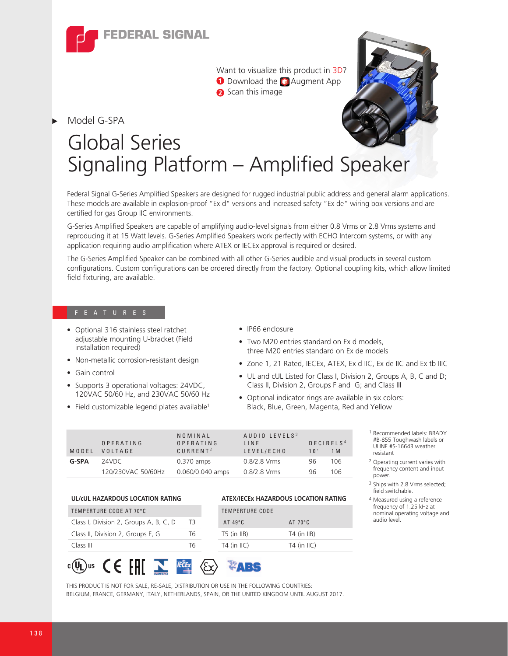

Want to visualize this product in 3D? **O** Download the **Augment App 2** Scan this image



# Global Series Signaling Platform – Amplified Speaker

Federal Signal G-Series Amplified Speakers are designed for rugged industrial public address and general alarm applications. These models are available in explosion-proof "Ex d" versions and increased safety "Ex de" wiring box versions and are certified for gas Group IIC environments.

G-Series Amplified Speakers are capable of amplifying audio-level signals from either 0.8 Vrms or 2.8 Vrms systems and reproducing it at 15 Watt levels. G-Series Amplified Speakers work perfectly with ECHO Intercom systems, or with any application requiring audio amplification where ATEX or IECEx approval is required or desired.

The G-Series Amplified Speaker can be combined with all other G-Series audible and visual products in several custom configurations. Custom configurations can be ordered directly from the factory. Optional coupling kits, which allow limited field fixturing, are available.

- Optional 316 stainless steel ratchet adjustable mounting U-bracket (Field installation required)
- Non-metallic corrosion-resistant design
- Gain control

Model G-SPA

- Supports 3 operational voltages: 24VDC, 120VAC 50/60 Hz, and 230VAC 50/60 Hz
- $\bullet$  Field customizable legend plates available<sup>1</sup>

**UL/cUL HAZARDOUS LOCATION RATING** 

### • IP66 enclosure

- Two M20 entries standard on Ex d models, three M20 entries standard on Ex de models
- Zone 1, 21 Rated, IECEx, ATEX, Ex d IIC, Ex de IIC and Ex tb IIIC
- UL and cUL Listed for Class I, Division 2, Groups A, B, C and D; Class II, Division 2, Groups F and G; and Class III
- Optional indicator rings are available in six colors: Black, Blue, Green, Magenta, Red and Yellow

| MODEL | OPERATING<br>VOLTAGE | NOMINAL<br>OPERATING<br>CURRENT <sup>2</sup> | AUDIO LEVELS <sup>3</sup><br>LINE<br>LEVEL/ECHO | 10 <sup>1</sup> | DECIBELS <sup>4</sup><br>1 M |
|-------|----------------------|----------------------------------------------|-------------------------------------------------|-----------------|------------------------------|
| G-SPA | 24VDC                | $0.370$ amps                                 | $0.8/2.8$ Vrms                                  | 96              | 106                          |
|       | 120/230VAC 50/60Hz   | 0.060/0.040 amps                             | $0.8/2.8$ Vrms                                  | 96              | 106                          |

|                                        |    | AILWILSEA HALANDOOJ LOSAIION IVALING |                  |  |
|----------------------------------------|----|--------------------------------------|------------------|--|
| TEMPERTURE CODE AT 70°C.               |    | <b>TEMPERTURE CODE</b>               |                  |  |
| Class I, Division 2, Groups A, B, C, D | ТЗ | $AT 49^{\circ}C$                     | $AT 70^{\circ}C$ |  |
| Class II, Division 2, Groups F, G      | Т6 | $T5$ (in $IIB$ )                     | $T4$ (in IIB)    |  |
| Class III                              | Т6 | $T4$ (in $I(C)$                      | $T4$ (in $IIC$ ) |  |
|                                        |    |                                      |                  |  |

<sup>1</sup> Recommended labels: BRADY #B-855 Toughwash labels or ULINE #S-16643 weather resistant

- <sup>2</sup> Operating current varies with frequency content and input power.
- <sup>3</sup> Ships with 2.8 Vrms selected; field switchable.
- <sup>4</sup> Measured using a reference frequency of 1.25 kHz at nominal operating voltage and audio level.



THIS PRODUCT IS NOT FOR SALE, RE-SALE, DISTRIBUTION OR USE IN THE FOLLOWING COUNTRIES: BELGIUM, FRANCE, GERMANY, ITALY, NETHERLANDS, SPAIN, OR THE UNITED KINGDOM UNTIL AUGUST 2017.